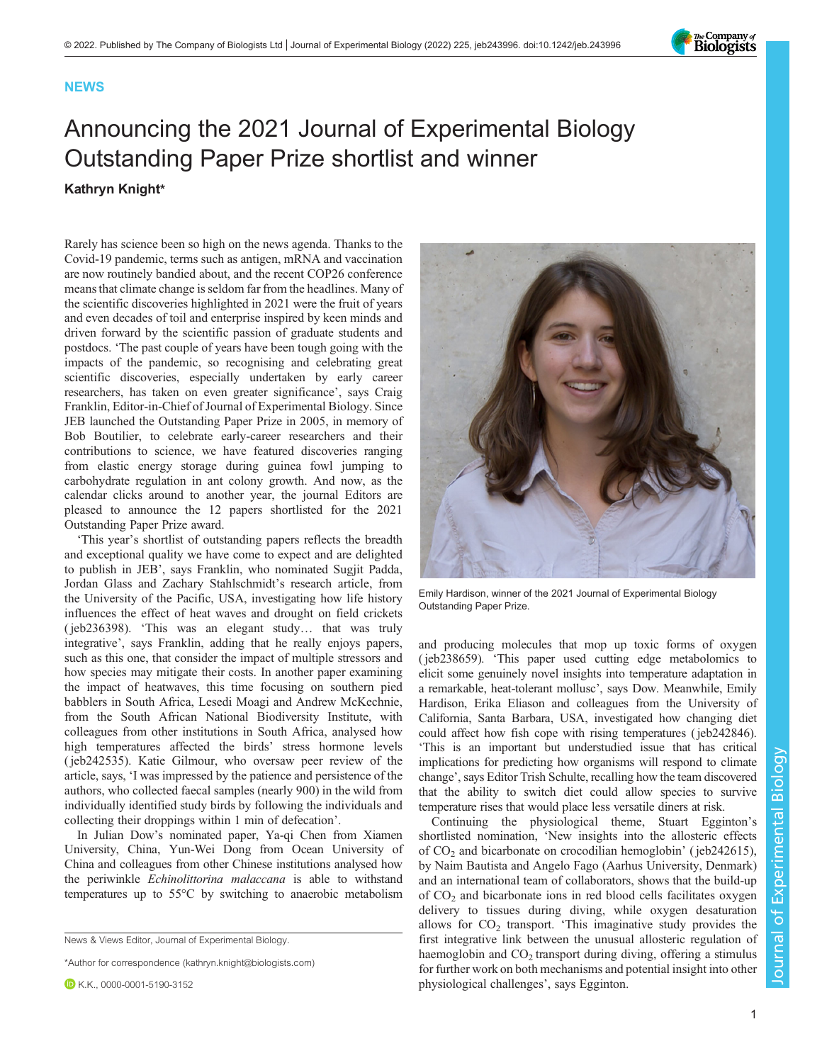

## **NEWS**

## Announcing the 2021 Journal of Experimental Biology Outstanding Paper Prize shortlist and winner Kathryn Knight\*

Rarely has science been so high on the news agenda. Thanks to the Covid-19 pandemic, terms such as antigen, mRNA and vaccination are now routinely bandied about, and the recent COP26 conference means that climate change is seldom far from the headlines. Many of the scientific discoveries highlighted in 2021 were the fruit of years and even decades of toil and enterprise inspired by keen minds and driven forward by the scientific passion of graduate students and postdocs. 'The past couple of years have been tough going with the impacts of the pandemic, so recognising and celebrating great scientific discoveries, especially undertaken by early career researchers, has taken on even greater significance', says Craig Franklin, Editor-in-Chief of Journal of Experimental Biology. Since JEB launched the Outstanding Paper Prize in 2005, in memory of Bob Boutilier, to celebrate early-career researchers and their contributions to science, we have featured discoveries ranging from elastic energy storage during guinea fowl jumping to carbohydrate regulation in ant colony growth. And now, as the calendar clicks around to another year, the journal Editors are pleased to announce the 12 papers shortlisted for the 2021 Outstanding Paper Prize award.

'This year's shortlist of outstanding papers reflects the breadth and exceptional quality we have come to expect and are delighted to publish in JEB', says Franklin, who nominated Sugjit Padda, Jordan Glass and Zachary Stahlschmidt's research article, from the University of the Pacific, USA, investigating how life history influences the effect of heat waves and drought on field crickets [\( jeb236398\)](https://journals.biologists.com/jeb/article/224/7/jeb236398/238724). 'This was an elegant study… that was truly integrative', says Franklin, adding that he really enjoys papers, such as this one, that consider the impact of multiple stressors and how species may mitigate their costs. In another paper examining the impact of heatwaves, this time focusing on southern pied babblers in South Africa, Lesedi Moagi and Andrew McKechnie, from the South African National Biodiversity Institute, with colleagues from other institutions in South Africa, analysed how high temperatures affected the birds' stress hormone levels [\( jeb242535\)](https://journals.biologists.com/jeb/article/224/10/jeb242535/268362). Katie Gilmour, who oversaw peer review of the article, says, 'I was impressed by the patience and persistence of the authors, who collected faecal samples (nearly 900) in the wild from individually identified study birds by following the individuals and collecting their droppings within 1 min of defecation'.

In Julian Dow's nominated paper, Ya-qi Chen from Xiamen University, China, Yun-Wei Dong from Ocean University of China and colleagues from other Chinese institutions analysed how the periwinkle Echinolittorina malaccana is able to withstand temperatures up to 55°C by switching to anaerobic metabolism

News & Views Editor, Journal of Experimental Biology.

\*Author for correspondence [\(kathryn.knight@biologists.com](mailto:kathryn.knight@biologists.com))



Emily Hardison, winner of the 2021 Journal of Experimental Biology Outstanding Paper Prize.

and producing molecules that mop up toxic forms of oxygen [\( jeb238659\)](https://journals.biologists.com/jeb/article/224/6/jeb238659/237925). 'This paper used cutting edge metabolomics to elicit some genuinely novel insights into temperature adaptation in a remarkable, heat-tolerant mollusc', says Dow. Meanwhile, Emily Hardison, Erika Eliason and colleagues from the University of California, Santa Barbara, USA, investigated how changing diet could affect how fish cope with rising temperatures [\( jeb242846\)](https://journals.biologists.com/jeb/article/224/21/jeb242846/272691/Diet-mediates-thermal-performance-traits). 'This is an important but understudied issue that has critical implications for predicting how organisms will respond to climate change', says Editor Trish Schulte, recalling how the team discovered that the ability to switch diet could allow species to survive temperature rises that would place less versatile diners at risk.

Continuing the physiological theme, Stuart Egginton's shortlisted nomination, 'New insights into the allosteric effects of CO2 and bicarbonate on crocodilian hemoglobin' ( [jeb242615\)](https://journals.biologists.com/jeb/article/224/15/jeb242615/271141), by Naim Bautista and Angelo Fago (Aarhus University, Denmark) and an international team of collaborators, shows that the build-up of  $CO<sub>2</sub>$  and bicarbonate ions in red blood cells facilitates oxygen delivery to tissues during diving, while oxygen desaturation allows for  $CO<sub>2</sub>$  transport. 'This imaginative study provides the first integrative link between the unusual allosteric regulation of haemoglobin and  $CO<sub>2</sub>$  transport during diving, offering a stimulus for further work on both mechanisms and potential insight into other physiological challenges', says Egginton.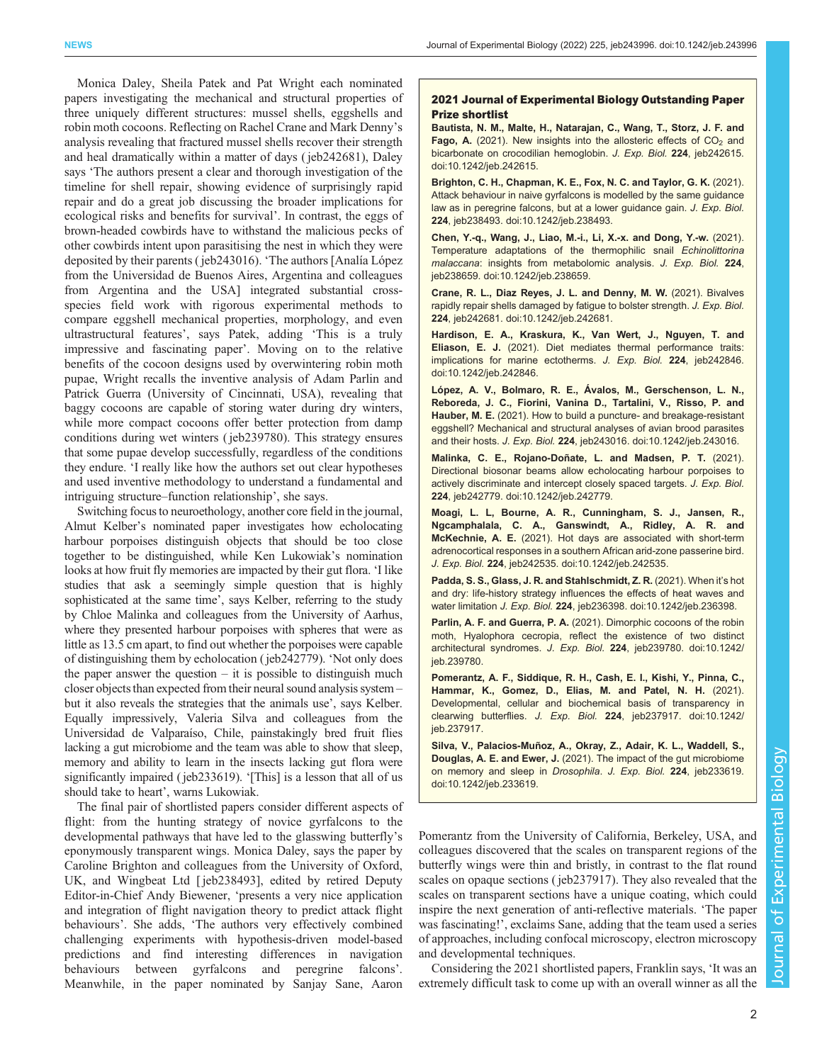Monica Daley, Sheila Patek and Pat Wright each nominated papers investigating the mechanical and structural properties of three uniquely different structures: mussel shells, eggshells and robin moth cocoons. Reflecting on Rachel Crane and Mark Denny's analysis revealing that fractured mussel shells recover their strength and heal dramatically within a matter of days ( [jeb242681](https://journals.biologists.com/jeb/article/224/19/jeb242681/272465)), Daley says 'The authors present a clear and thorough investigation of the timeline for shell repair, showing evidence of surprisingly rapid repair and do a great job discussing the broader implications for ecological risks and benefits for survival'. In contrast, the eggs of brown-headed cowbirds have to withstand the malicious pecks of other cowbirds intent upon parasitising the nest in which they were deposited by their parents [\( jeb243016\)](https://journals.biologists.com/jeb/article/224/17/jeb243016/272027). 'The authors [Analía López from the Universidad de Buenos Aires, Argentina and colleagues from Argentina and the USA] integrated substantial crossspecies field work with rigorous experimental methods to compare eggshell mechanical properties, morphology, and even ultrastructural features', says Patek, adding 'This is a truly impressive and fascinating paper'. Moving on to the relative benefits of the cocoon designs used by overwintering robin moth pupae, Wright recalls the inventive analysis of Adam Parlin and Patrick Guerra (University of Cincinnati, USA), revealing that baggy cocoons are capable of storing water during dry winters, while more compact cocoons offer better protection from damp conditions during wet winters [\( jeb239780\)](https://journals.biologists.com/jeb/article/224/10/jeb239780/268388/Dimorphic-cocoons-of-the-robin-moth-Hyalophora). This strategy ensures that some pupae develop successfully, regardless of the conditions they endure. 'I really like how the authors set out clear hypotheses and used inventive methodology to understand a fundamental and intriguing structure–function relationship', she says.

Switching focus to neuroethology, another core field in the journal, Almut Kelber's nominated paper investigates how echolocating harbour porpoises distinguish objects that should be too close together to be distinguished, while Ken Lukowiak's nomination looks at how fruit fly memories are impacted by their gut flora. 'I like studies that ask a seemingly simple question that is highly sophisticated at the same time', says Kelber, referring to the study by Chloe Malinka and colleagues from the University of Aarhus, where they presented harbour porpoises with spheres that were as little as 13.5 cm apart, to find out whether the porpoises were capable of distinguishing them by echolocation ( [jeb242779](https://journals.biologists.com/jeb/article/224/16/jeb242779/271830/Directional-biosonar-beams-allow-echolocating)). 'Not only does the paper answer the question  $-$  it is possible to distinguish much closer objects than expected from their neural sound analysis system – but it also reveals the strategies that the animals use', says Kelber. Equally impressively, Valeria Silva and colleagues from the Universidad de Valparaíso, Chile, painstakingly bred fruit flies lacking a gut microbiome and the team was able to show that sleep, memory and ability to learn in the insects lacking gut flora were significantly impaired ( [jeb233619](https://journals.biologists.com/jeb/article/224/3/jeb233619/223434)). '[This] is a lesson that all of us should take to heart', warns Lukowiak.

The final pair of shortlisted papers consider different aspects of flight: from the hunting strategy of novice gyrfalcons to the developmental pathways that have led to the glasswing butterfly's eponymously transparent wings. Monica Daley, says the paper by Caroline Brighton and colleagues from the University of Oxford, UK, and Wingbeat Ltd [\[ jeb238493\]](https://journals.biologists.com/jeb/article/224/5/jeb238493/237531), edited by retired Deputy Editor-in-Chief Andy Biewener, 'presents a very nice application and integration of flight navigation theory to predict attack flight behaviours'. She adds, 'The authors very effectively combined challenging experiments with hypothesis-driven model-based predictions and find interesting differences in navigation behaviours between gyrfalcons and peregrine falcons'. Meanwhile, in the paper nominated by Sanjay Sane, Aaron

## 2021 Journal of Experimental Biology Outstanding Paper Prize shortlist

Bautista, N. M., Malte, H., Natarajan, C., Wang, T., Storz, J. F. and Fago, A. (2021). New insights into the allosteric effects of  $CO<sub>2</sub>$  and bicarbonate on crocodilian hemoglobin. J. Exp. Biol. 224, jeb242615. doi:10.1242/jeb.242615.

Brighton, C. H., Chapman, K. E., Fox, N. C. and Taylor, G. K. (2021). Attack behaviour in naive gyrfalcons is modelled by the same guidance law as in peregrine falcons, but at a lower guidance gain. J. Exp. Biol. 224, jeb238493. doi:10.1242/jeb.238493.

Chen, Y.-q., Wang, J., Liao, M.-i., Li, X.-x. and Dong, Y.-w. (2021). Temperature adaptations of the thermophilic snail Echinolittorina malaccana: insights from metabolomic analysis. J. Exp. Biol. 224, jeb238659. doi:10.1242/jeb.238659.

Crane, R. L., Diaz Reyes, J. L. and Denny, M. W. (2021). Bivalves rapidly repair shells damaged by fatigue to bolster strength. J. Exp. Biol. 224, jeb242681. doi:10.1242/jeb.242681.

Hardison, E. A., Kraskura, K., Van Wert, J., Nguyen, T. and Eliason, E. J. (2021). Diet mediates thermal performance traits: implications for marine ectotherms. J. Exp. Biol. 224, jeb242846. doi:10.1242/jeb.242846.

López, A. V., Bolmaro, R. E., Ávalos, M., Gerschenson, L. N., Reboreda, J. C., Fiorini, Vanina D., Tartalini, V., Risso, P. and Hauber, M. E. (2021). How to build a puncture- and breakage-resistant eggshell? Mechanical and structural analyses of avian brood parasites and their hosts. J. Exp. Biol. 224, jeb243016. doi:10.1242/jeb.243016.

Malinka, C. E., Rojano-Doñate, L. and Madsen, P. T. (2021). Directional biosonar beams allow echolocating harbour porpoises to actively discriminate and intercept closely spaced targets. J. Exp. Biol. 224, jeb242779. doi:10.1242/jeb.242779.

Moagi, L. L, Bourne, A. R., Cunningham, S. J., Jansen, R., Ngcamphalala, C. A., Ganswindt, A., Ridley, A. R. and McKechnie, A. E. (2021). Hot days are associated with short-term adrenocortical responses in a southern African arid-zone passerine bird. J. Exp. Biol. 224, jeb242535. doi:10.1242/jeb.242535.

Padda, S. S., Glass, J. R. and Stahlschmidt, Z. R. (2021). When it's hot and dry: life-history strategy influences the effects of heat waves and water limitation J. Exp. Biol. 224, jeb236398. doi:10.1242/jeb.236398.

Parlin, A. F. and Guerra, P. A. (2021). Dimorphic cocoons of the robin moth, Hyalophora cecropia, reflect the existence of two distinct architectural syndromes. J. Exp. Biol. 224, jeb239780. doi:10.1242/ jeb.239780.

Pomerantz, A. F., Siddique, R. H., Cash, E. I., Kishi, Y., Pinna, C., Hammar, K., Gomez, D., Elias, M. and Patel, N. H. (2021). Developmental, cellular and biochemical basis of transparency in clearwing butterflies. J. Exp. Biol. 224, jeb237917. doi:10.1242/ jeb.237917.

Silva, V., Palacios-Muñoz, A., Okray, Z., Adair, K. L., Waddell, S., Douglas, A. E. and Ewer, J. (2021). The impact of the gut microbiome on memory and sleep in Drosophila. J. Exp. Biol. 224, jeb233619. doi:10.1242/jeb.233619.

Pomerantz from the University of California, Berkeley, USA, and colleagues discovered that the scales on transparent regions of the butterfly wings were thin and bristly, in contrast to the flat round scales on opaque sections [\( jeb237917\)](https://journals.biologists.com/jeb/article/224/10/jeb237917/268372). They also revealed that the scales on transparent sections have a unique coating, which could inspire the next generation of anti-reflective materials. 'The paper was fascinating!', exclaims Sane, adding that the team used a series of approaches, including confocal microscopy, electron microscopy and developmental techniques.

Considering the 2021 shortlisted papers, Franklin says, 'It was an extremely difficult task to come up with an overall winner as all the